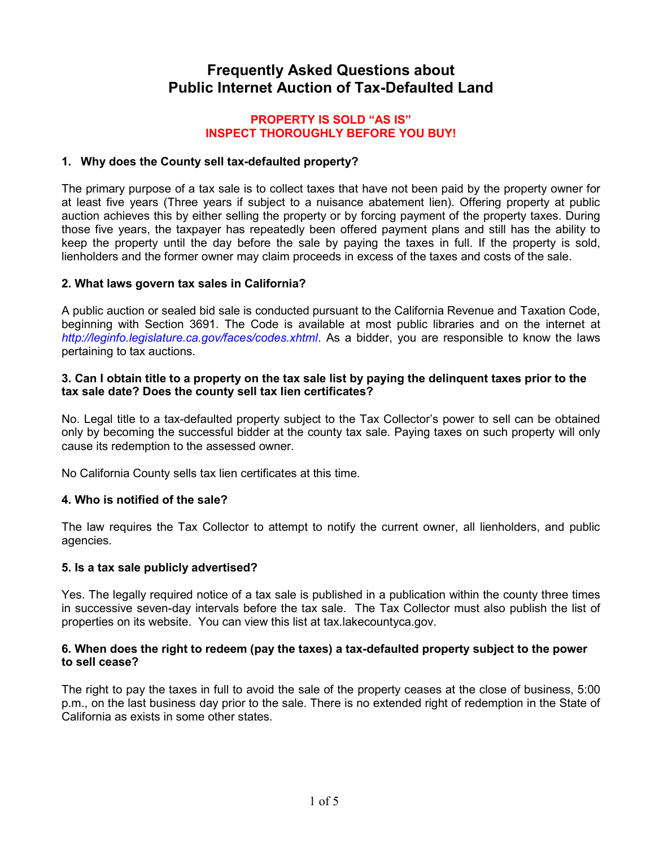# Frequently Asked Questions about Public Internet Auction of Tax-Defaulted Land

#### PROPERTY IS SOLD "AS IS" INSPECT THOROUGHLY BEFORE YOU BUY!

## 1. Why does the County sell tax-defaulted property?

The primary purpose of a tax sale is to collect taxes that have not been paid by the property owner for at least five years (Three years if subject to a nuisance abatement lien). Offering property at public auction achieves this by either selling the property or by forcing payment of the property taxes. During those five years, the taxpayer has repeatedly been offered payment plans and still has the ability to keep the property until the day before the sale by paying the taxes in full. If the property is sold, lienholders and the former owner may claim proceeds in excess of the taxes and costs of the sale.

## 2. What laws govern tax sales in California?

A public auction or sealed bid sale is conducted pursuant to the California Revenue and Taxation Code, beginning with Section 3691. The Code is available at most public libraries and on the internet at http://leginfo.legislature.ca.gov/faces/codes.xhtml. As a bidder, you are responsible to know the laws pertaining to tax auctions.

#### 3. Can I obtain title to a property on the tax sale list by paying the delinquent taxes prior to the tax sale date? Does the county sell tax lien certificates?

No. Legal title to a tax-defaulted property subject to the Tax Collector's power to sell can be obtained only by becoming the successful bidder at the county tax sale. Paying taxes on such property will only cause its redemption to the assessed owner.

No California County sells tax lien certificates at this time.

## 4. Who is notified of the sale?

The law requires the Tax Collector to attempt to notify the current owner, all lienholders, and public agencies.

#### 5. Is a tax sale publicly advertised?

Yes. The legally required notice of a tax sale is published in a publication within the county three times in successive seven-day intervals before the tax sale. The Tax Collector must also publish the list of properties on its website. You can view this list at tax.lakecountyca.gov.

#### 6. When does the right to redeem (pay the taxes) a tax-defaulted property subject to the power to sell cease?

The right to pay the taxes in full to avoid the sale of the property ceases at the close of business, 5:00 p.m., on the last business day prior to the sale. There is no extended right of redemption in the State of California as exists in some other states.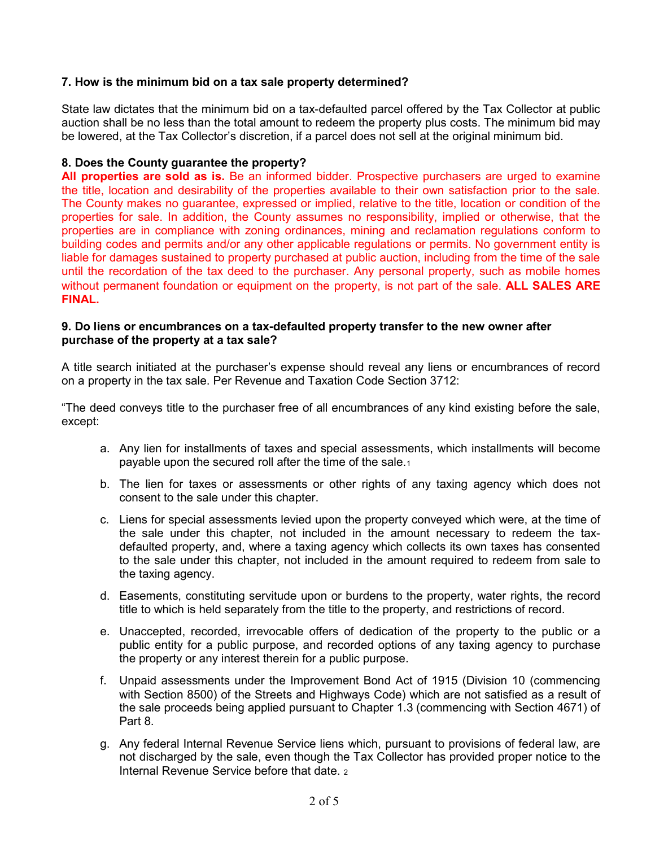## 7. How is the minimum bid on a tax sale property determined?

State law dictates that the minimum bid on a tax-defaulted parcel offered by the Tax Collector at public auction shall be no less than the total amount to redeem the property plus costs. The minimum bid may be lowered, at the Tax Collector's discretion, if a parcel does not sell at the original minimum bid.

#### 8. Does the County guarantee the property?

All properties are sold as is. Be an informed bidder. Prospective purchasers are urged to examine the title, location and desirability of the properties available to their own satisfaction prior to the sale. The County makes no guarantee, expressed or implied, relative to the title, location or condition of the properties for sale. In addition, the County assumes no responsibility, implied or otherwise, that the properties are in compliance with zoning ordinances, mining and reclamation regulations conform to building codes and permits and/or any other applicable regulations or permits. No government entity is liable for damages sustained to property purchased at public auction, including from the time of the sale until the recordation of the tax deed to the purchaser. Any personal property, such as mobile homes without permanent foundation or equipment on the property, is not part of the sale. ALL SALES ARE FINAL.

#### 9. Do liens or encumbrances on a tax-defaulted property transfer to the new owner after purchase of the property at a tax sale?

A title search initiated at the purchaser's expense should reveal any liens or encumbrances of record on a property in the tax sale. Per Revenue and Taxation Code Section 3712:

"The deed conveys title to the purchaser free of all encumbrances of any kind existing before the sale, except:

- a. Any lien for installments of taxes and special assessments, which installments will become payable upon the secured roll after the time of the sale.<sup>1</sup>
- b. The lien for taxes or assessments or other rights of any taxing agency which does not consent to the sale under this chapter.
- c. Liens for special assessments levied upon the property conveyed which were, at the time of the sale under this chapter, not included in the amount necessary to redeem the taxdefaulted property, and, where a taxing agency which collects its own taxes has consented to the sale under this chapter, not included in the amount required to redeem from sale to the taxing agency.
- d. Easements, constituting servitude upon or burdens to the property, water rights, the record title to which is held separately from the title to the property, and restrictions of record.
- e. Unaccepted, recorded, irrevocable offers of dedication of the property to the public or a public entity for a public purpose, and recorded options of any taxing agency to purchase the property or any interest therein for a public purpose.
- f. Unpaid assessments under the Improvement Bond Act of 1915 (Division 10 (commencing with Section 8500) of the Streets and Highways Code) which are not satisfied as a result of the sale proceeds being applied pursuant to Chapter 1.3 (commencing with Section 4671) of Part 8.
- g. Any federal Internal Revenue Service liens which, pursuant to provisions of federal law, are not discharged by the sale, even though the Tax Collector has provided proper notice to the Internal Revenue Service before that date. 2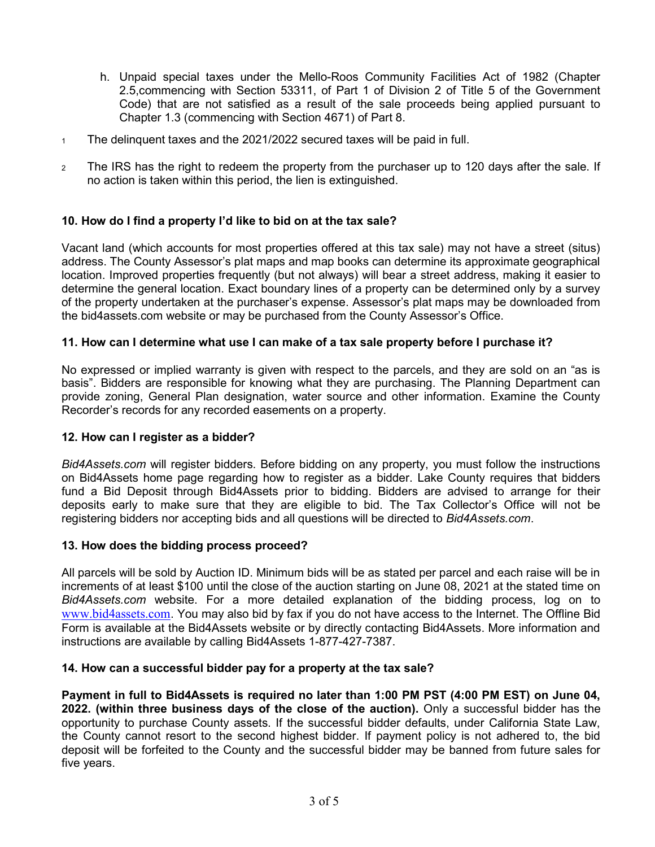- h. Unpaid special taxes under the Mello-Roos Community Facilities Act of 1982 (Chapter 2.5,commencing with Section 53311, of Part 1 of Division 2 of Title 5 of the Government Code) that are not satisfied as a result of the sale proceeds being applied pursuant to Chapter 1.3 (commencing with Section 4671) of Part 8.
- 1 The delinquent taxes and the 2021/2022 secured taxes will be paid in full.
- <sup>2</sup>The IRS has the right to redeem the property from the purchaser up to 120 days after the sale. If no action is taken within this period, the lien is extinguished.

# 10. How do I find a property I'd like to bid on at the tax sale?

Vacant land (which accounts for most properties offered at this tax sale) may not have a street (situs) address. The County Assessor's plat maps and map books can determine its approximate geographical location. Improved properties frequently (but not always) will bear a street address, making it easier to determine the general location. Exact boundary lines of a property can be determined only by a survey of the property undertaken at the purchaser's expense. Assessor's plat maps may be downloaded from the bid4assets.com website or may be purchased from the County Assessor's Office.

## 11. How can I determine what use I can make of a tax sale property before I purchase it?

No expressed or implied warranty is given with respect to the parcels, and they are sold on an "as is basis". Bidders are responsible for knowing what they are purchasing. The Planning Department can provide zoning, General Plan designation, water source and other information. Examine the County Recorder's records for any recorded easements on a property.

## 12. How can I register as a bidder?

Bid4Assets.com will register bidders. Before bidding on any property, you must follow the instructions on Bid4Assets home page regarding how to register as a bidder. Lake County requires that bidders fund a Bid Deposit through Bid4Assets prior to bidding. Bidders are advised to arrange for their deposits early to make sure that they are eligible to bid. The Tax Collector's Office will not be registering bidders nor accepting bids and all questions will be directed to Bid4Assets.com.

#### 13. How does the bidding process proceed?

All parcels will be sold by Auction ID. Minimum bids will be as stated per parcel and each raise will be in increments of at least \$100 until the close of the auction starting on June 08, 2021 at the stated time on Bid4Assets.com website. For a more detailed explanation of the bidding process, log on to www.bid4assets.com. You may also bid by fax if you do not have access to the Internet. The Offline Bid Form is available at the Bid4Assets website or by directly contacting Bid4Assets. More information and instructions are available by calling Bid4Assets 1-877-427-7387.

## 14. How can a successful bidder pay for a property at the tax sale?

Payment in full to Bid4Assets is required no later than 1:00 PM PST (4:00 PM EST) on June 04, 2022. (within three business days of the close of the auction). Only a successful bidder has the opportunity to purchase County assets. If the successful bidder defaults, under California State Law, the County cannot resort to the second highest bidder. If payment policy is not adhered to, the bid deposit will be forfeited to the County and the successful bidder may be banned from future sales for five years.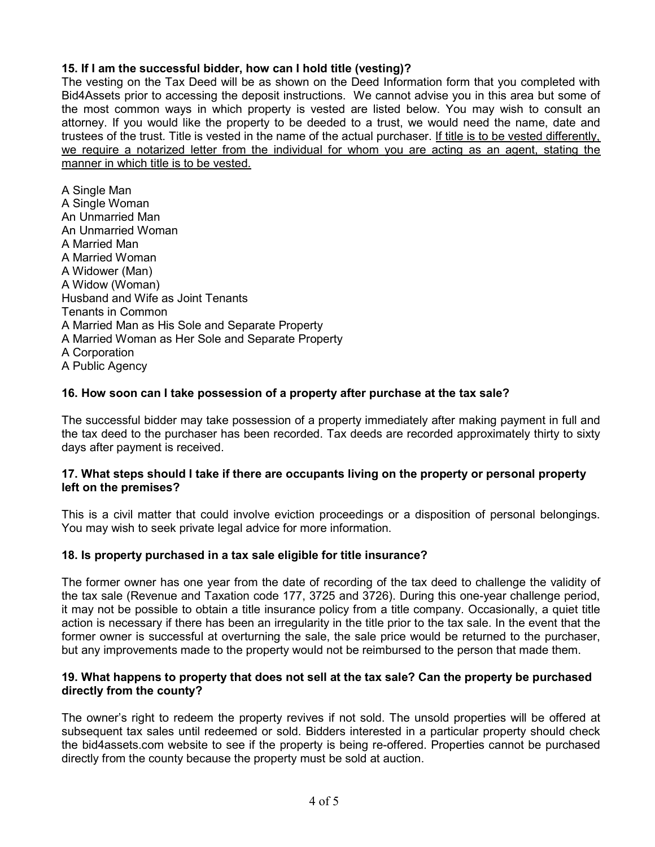# 15. If I am the successful bidder, how can I hold title (vesting)?

The vesting on the Tax Deed will be as shown on the Deed Information form that you completed with Bid4Assets prior to accessing the deposit instructions. We cannot advise you in this area but some of the most common ways in which property is vested are listed below. You may wish to consult an attorney. If you would like the property to be deeded to a trust, we would need the name, date and trustees of the trust. Title is vested in the name of the actual purchaser. If title is to be vested differently, we require a notarized letter from the individual for whom you are acting as an agent, stating the manner in which title is to be vested.

A Single Man A Single Woman An Unmarried Man An Unmarried Woman A Married Man A Married Woman A Widower (Man) A Widow (Woman) Husband and Wife as Joint Tenants Tenants in Common A Married Man as His Sole and Separate Property A Married Woman as Her Sole and Separate Property A Corporation A Public Agency

## 16. How soon can I take possession of a property after purchase at the tax sale?

The successful bidder may take possession of a property immediately after making payment in full and the tax deed to the purchaser has been recorded. Tax deeds are recorded approximately thirty to sixty days after payment is received.

## 17. What steps should I take if there are occupants living on the property or personal property left on the premises?

This is a civil matter that could involve eviction proceedings or a disposition of personal belongings. You may wish to seek private legal advice for more information.

## 18. Is property purchased in a tax sale eligible for title insurance?

The former owner has one year from the date of recording of the tax deed to challenge the validity of the tax sale (Revenue and Taxation code 177, 3725 and 3726). During this one-year challenge period, it may not be possible to obtain a title insurance policy from a title company. Occasionally, a quiet title action is necessary if there has been an irregularity in the title prior to the tax sale. In the event that the former owner is successful at overturning the sale, the sale price would be returned to the purchaser, but any improvements made to the property would not be reimbursed to the person that made them.

## 19. What happens to property that does not sell at the tax sale? Can the property be purchased directly from the county?

The owner's right to redeem the property revives if not sold. The unsold properties will be offered at subsequent tax sales until redeemed or sold. Bidders interested in a particular property should check the bid4assets.com website to see if the property is being re-offered. Properties cannot be purchased directly from the county because the property must be sold at auction.